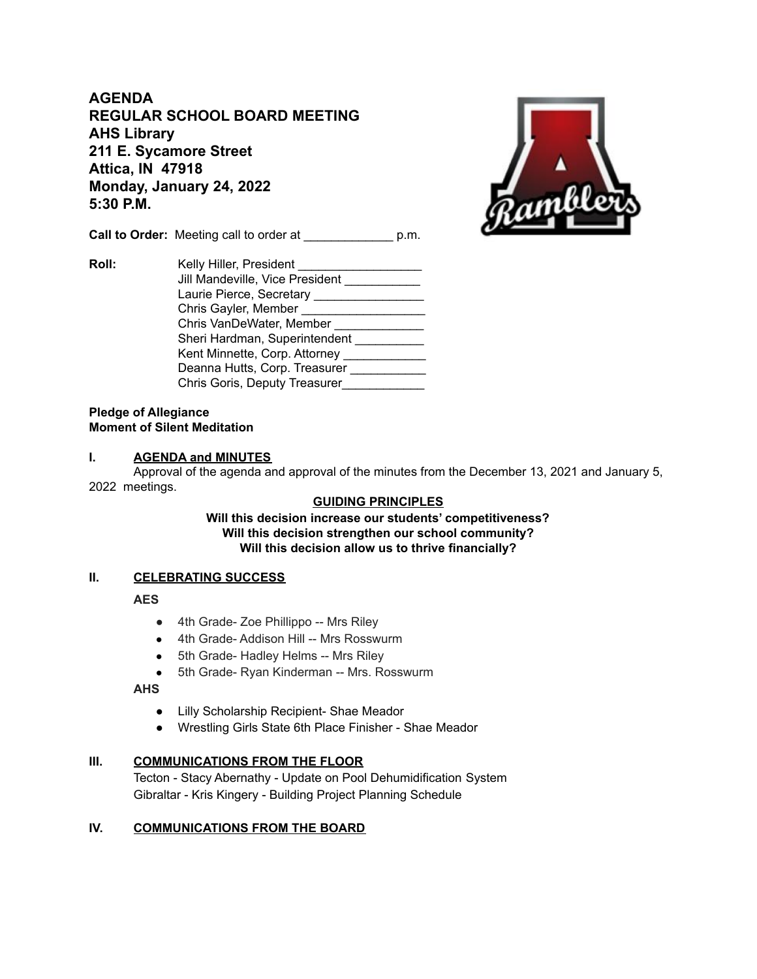**AGENDA REGULAR SCHOOL BOARD MEETING AHS Library 211 E. Sycamore Street Attica, IN 47918 Monday, January 24, 2022 5:30 P.M.**

**Call to Order:** Meeting call to order at  $p.m.$ 



**Roll:** Kelly Hiller, President Jill Mandeville, Vice President \_\_\_\_\_\_\_\_\_\_ Laurie Pierce, Secretary \_\_\_\_\_\_\_\_\_\_\_\_\_\_\_\_\_ Chris Gayler, Member \_\_\_\_\_\_\_\_\_\_\_\_\_\_\_\_\_\_ Chris VanDeWater, Member \_\_\_\_\_\_\_\_\_\_\_\_\_\_ Sheri Hardman, Superintendent \_\_\_\_\_\_\_\_\_\_ Kent Minnette, Corp. Attorney \_\_\_\_\_\_\_\_\_\_\_\_\_ Deanna Hutts, Corp. Treasurer \_\_\_\_\_\_\_\_\_\_\_ Chris Goris, Deputy Treasurer\_\_\_\_\_\_\_\_\_\_\_\_\_

#### **Pledge of Allegiance Moment of Silent Meditation**

#### **I. AGENDA and MINUTES**

Approval of the agenda and approval of the minutes from the December 13, 2021 and January 5, 2022 meetings.

## **GUIDING PRINCIPLES**

**Will this decision increase our students' competitiveness? Will this decision strengthen our school community? Will this decision allow us to thrive financially?**

## **II. CELEBRATING SUCCESS**

**AES**

- 4th Grade- Zoe Phillippo -- Mrs Riley
- 4th Grade- Addison Hill -- Mrs Rosswurm
- 5th Grade- Hadley Helms -- Mrs Riley
- 5th Grade- Ryan Kinderman -- Mrs. Rosswurm

## **AHS**

- Lilly Scholarship Recipient- Shae Meador
- Wrestling Girls State 6th Place Finisher Shae Meador

# **III. COMMUNICATIONS FROM THE FLOOR**

Tecton - Stacy Abernathy - Update on Pool Dehumidification System Gibraltar - Kris Kingery - Building Project Planning Schedule

## **IV. COMMUNICATIONS FROM THE BOARD**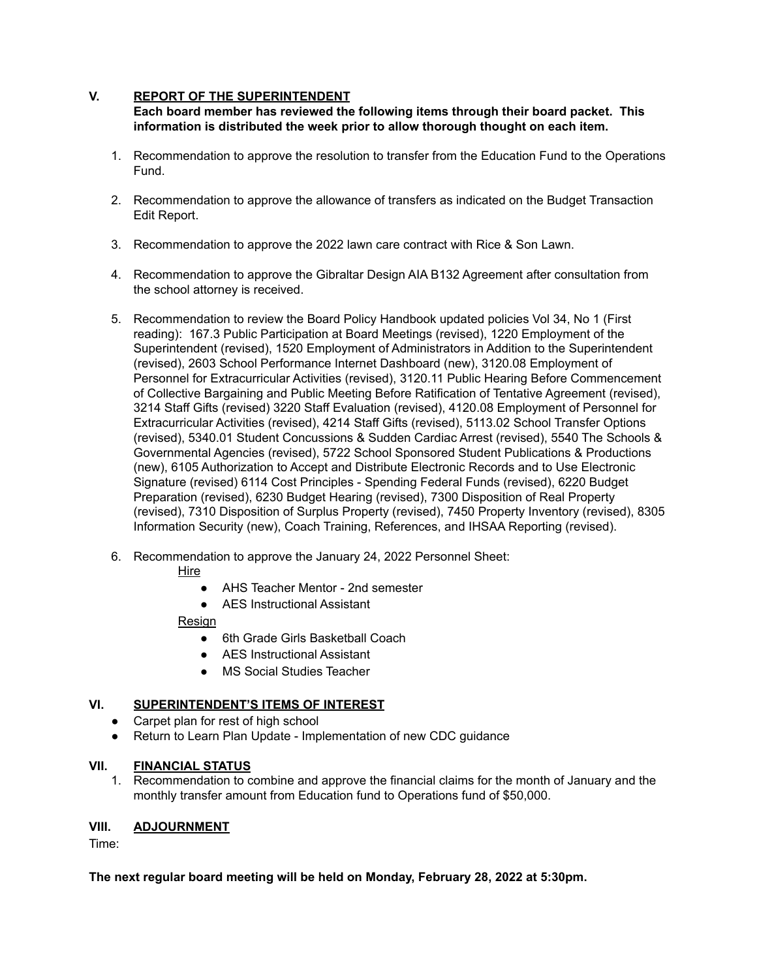## **V. REPORT OF THE SUPERINTENDENT**

**Each board member has reviewed the following items through their board packet. This information is distributed the week prior to allow thorough thought on each item.**

- 1. Recommendation to approve the resolution to transfer from the Education Fund to the Operations Fund.
- 2. Recommendation to approve the allowance of transfers as indicated on the Budget Transaction Edit Report.
- 3. Recommendation to approve the 2022 lawn care contract with Rice & Son Lawn.
- 4. Recommendation to approve the Gibraltar Design AIA B132 Agreement after consultation from the school attorney is received.
- 5. Recommendation to review the Board Policy Handbook updated policies Vol 34, No 1 (First reading): 167.3 Public Participation at Board Meetings (revised), 1220 Employment of the Superintendent (revised), 1520 Employment of Administrators in Addition to the Superintendent (revised), 2603 School Performance Internet Dashboard (new), 3120.08 Employment of Personnel for Extracurricular Activities (revised), 3120.11 Public Hearing Before Commencement of Collective Bargaining and Public Meeting Before Ratification of Tentative Agreement (revised), 3214 Staff Gifts (revised) 3220 Staff Evaluation (revised), 4120.08 Employment of Personnel for Extracurricular Activities (revised), 4214 Staff Gifts (revised), 5113.02 School Transfer Options (revised), 5340.01 Student Concussions & Sudden Cardiac Arrest (revised), 5540 The Schools & Governmental Agencies (revised), 5722 School Sponsored Student Publications & Productions (new), 6105 Authorization to Accept and Distribute Electronic Records and to Use Electronic Signature (revised) 6114 Cost Principles - Spending Federal Funds (revised), 6220 Budget Preparation (revised), 6230 Budget Hearing (revised), 7300 Disposition of Real Property (revised), 7310 Disposition of Surplus Property (revised), 7450 Property Inventory (revised), 8305 Information Security (new), Coach Training, References, and IHSAA Reporting (revised).
- 6. Recommendation to approve the January 24, 2022 Personnel Sheet:

Hire

- AHS Teacher Mentor 2nd semester
- AES Instructional Assistant

## Resign

- 6th Grade Girls Basketball Coach
- AES Instructional Assistant
- MS Social Studies Teacher

# **VI. SUPERINTENDENT'S ITEMS OF INTEREST**

- Carpet plan for rest of high school
- Return to Learn Plan Update Implementation of new CDC guidance

## **VII. FINANCIAL STATUS**

1. Recommendation to combine and approve the financial claims for the month of January and the monthly transfer amount from Education fund to Operations fund of \$50,000.

## **VIII. ADJOURNMENT**

Time:

## **The next regular board meeting will be held on Monday, February 28, 2022 at 5:30pm.**